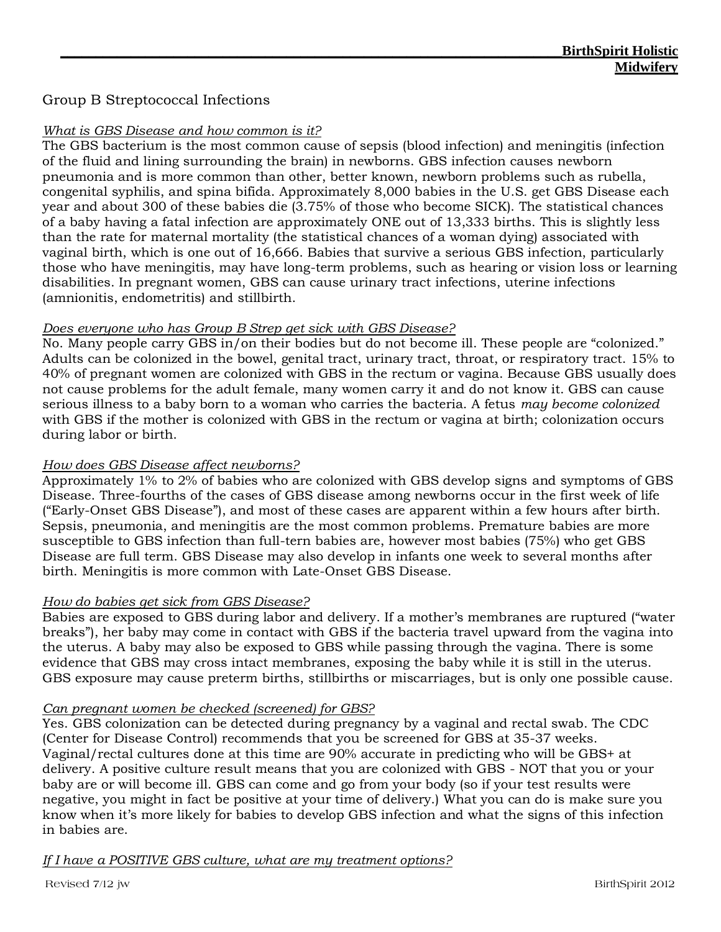# Group B Streptococcal Infections

#### *What is GBS Disease and how common is it?*

The GBS bacterium is the most common cause of sepsis (blood infection) and meningitis (infection of the fluid and lining surrounding the brain) in newborns. GBS infection causes newborn pneumonia and is more common than other, better known, newborn problems such as rubella, congenital syphilis, and spina bifida. Approximately 8,000 babies in the U.S. get GBS Disease each year and about 300 of these babies die (3.75% of those who become SICK). The statistical chances of a baby having a fatal infection are approximately ONE out of 13,333 births. This is slightly less than the rate for maternal mortality (the statistical chances of a woman dying) associated with vaginal birth, which is one out of 16,666. Babies that survive a serious GBS infection, particularly those who have meningitis, may have long-term problems, such as hearing or vision loss or learning disabilities. In pregnant women, GBS can cause urinary tract infections, uterine infections (amnionitis, endometritis) and stillbirth.

#### *Does everyone who has Group B Strep get sick with GBS Disease?*

No. Many people carry GBS in/on their bodies but do not become ill. These people are "colonized." Adults can be colonized in the bowel, genital tract, urinary tract, throat, or respiratory tract. 15% to 40% of pregnant women are colonized with GBS in the rectum or vagina. Because GBS usually does not cause problems for the adult female, many women carry it and do not know it. GBS can cause serious illness to a baby born to a woman who carries the bacteria. A fetus *may become colonized*  with GBS if the mother is colonized with GBS in the rectum or vagina at birth; colonization occurs during labor or birth.

#### *How does GBS Disease affect newborns?*

Approximately 1% to 2% of babies who are colonized with GBS develop signs and symptoms of GBS Disease. Three-fourths of the cases of GBS disease among newborns occur in the first week of life ("Early-Onset GBS Disease"), and most of these cases are apparent within a few hours after birth. Sepsis, pneumonia, and meningitis are the most common problems. Premature babies are more susceptible to GBS infection than full-tern babies are, however most babies (75%) who get GBS Disease are full term. GBS Disease may also develop in infants one week to several months after birth. Meningitis is more common with Late-Onset GBS Disease.

# *How do babies get sick from GBS Disease?*

Babies are exposed to GBS during labor and delivery. If a mother's membranes are ruptured ("water breaks"), her baby may come in contact with GBS if the bacteria travel upward from the vagina into the uterus. A baby may also be exposed to GBS while passing through the vagina. There is some evidence that GBS may cross intact membranes, exposing the baby while it is still in the uterus. GBS exposure may cause preterm births, stillbirths or miscarriages, but is only one possible cause.

#### *Can pregnant women be checked (screened) for GBS?*

Yes. GBS colonization can be detected during pregnancy by a vaginal and rectal swab. The CDC (Center for Disease Control) recommends that you be screened for GBS at 35-37 weeks. Vaginal/rectal cultures done at this time are 90% accurate in predicting who will be GBS+ at delivery. A positive culture result means that you are colonized with GBS - NOT that you or your baby are or will become ill. GBS can come and go from your body (so if your test results were negative, you might in fact be positive at your time of delivery.) What you can do is make sure you know when it's more likely for babies to develop GBS infection and what the signs of this infection in babies are.

# *If I have a POSITIVE GBS culture, what are my treatment options?*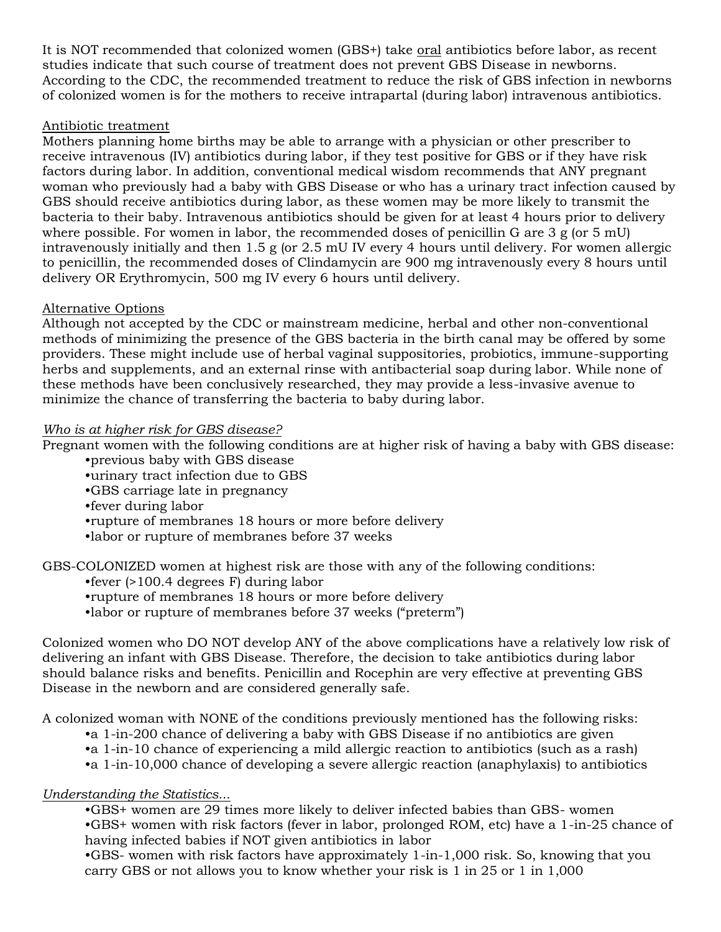It is NOT recommended that colonized women (GBS+) take oral antibiotics before labor, as recent studies indicate that such course of treatment does not prevent GBS Disease in newborns. According to the CDC, the recommended treatment to reduce the risk of GBS infection in newborns of colonized women is for the mothers to receive intrapartal (during labor) intravenous antibiotics.

# Antibiotic treatment

Mothers planning home births may be able to arrange with a physician or other prescriber to receive intravenous (IV) antibiotics during labor, if they test positive for GBS or if they have risk factors during labor. In addition, conventional medical wisdom recommends that ANY pregnant woman who previously had a baby with GBS Disease or who has a urinary tract infection caused by GBS should receive antibiotics during labor, as these women may be more likely to transmit the bacteria to their baby. Intravenous antibiotics should be given for at least 4 hours prior to delivery where possible. For women in labor, the recommended doses of penicillin G are 3 g (or 5 mU) intravenously initially and then 1.5 g (or 2.5 mU IV every 4 hours until delivery. For women allergic to penicillin, the recommended doses of Clindamycin are 900 mg intravenously every 8 hours until delivery OR Erythromycin, 500 mg IV every 6 hours until delivery.

# Alternative Options

Although not accepted by the CDC or mainstream medicine, herbal and other non-conventional methods of minimizing the presence of the GBS bacteria in the birth canal may be offered by some providers. These might include use of herbal vaginal suppositories, probiotics, immune-supporting herbs and supplements, and an external rinse with antibacterial soap during labor. While none of these methods have been conclusively researched, they may provide a less-invasive avenue to minimize the chance of transferring the bacteria to baby during labor.

# *Who is at higher risk for GBS disease?*

Pregnant women with the following conditions are at higher risk of having a baby with GBS disease:

- •previous baby with GBS disease
- •urinary tract infection due to GBS
- •GBS carriage late in pregnancy
- •fever during labor
- •rupture of membranes 18 hours or more before delivery
- •labor or rupture of membranes before 37 weeks

GBS-COLONIZED women at highest risk are those with any of the following conditions:

- •fever (>100.4 degrees F) during labor
- •rupture of membranes 18 hours or more before delivery
- •labor or rupture of membranes before 37 weeks ("preterm")

Colonized women who DO NOT develop ANY of the above complications have a relatively low risk of delivering an infant with GBS Disease. Therefore, the decision to take antibiotics during labor should balance risks and benefits. Penicillin and Rocephin are very effective at preventing GBS Disease in the newborn and are considered generally safe.

A colonized woman with NONE of the conditions previously mentioned has the following risks:

- •a 1-in-200 chance of delivering a baby with GBS Disease if no antibiotics are given
- •a 1-in-10 chance of experiencing a mild allergic reaction to antibiotics (such as a rash)
- •a 1-in-10,000 chance of developing a severe allergic reaction (anaphylaxis) to antibiotics

# *Understanding the Statistics...*

•GBS+ women are 29 times more likely to deliver infected babies than GBS- women •GBS+ women with risk factors (fever in labor, prolonged ROM, etc) have a 1-in-25 chance of having infected babies if NOT given antibiotics in labor

•GBS- women with risk factors have approximately 1-in-1,000 risk. So, knowing that you carry GBS or not allows you to know whether your risk is 1 in 25 or 1 in 1,000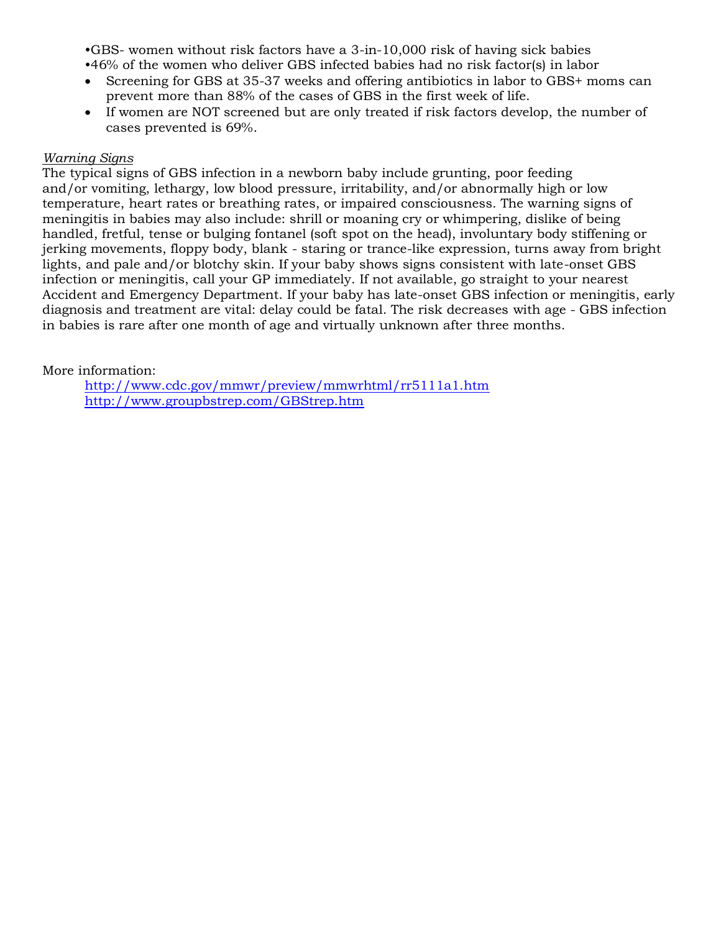•GBS- women without risk factors have a 3-in-10,000 risk of having sick babies

•46% of the women who deliver GBS infected babies had no risk factor(s) in labor

- Screening for GBS at 35-37 weeks and offering antibiotics in labor to GBS+ moms can prevent more than 88% of the cases of GBS in the first week of life.
- If women are NOT screened but are only treated if risk factors develop, the number of cases prevented is 69%.

#### *Warning Signs*

The typical signs of GBS infection in a newborn baby include grunting, poor feeding and/or vomiting, lethargy, low blood pressure, irritability, and/or abnormally high or low temperature, heart rates or breathing rates, or impaired consciousness. The warning signs of meningitis in babies may also include: shrill or moaning cry or whimpering, dislike of being handled, fretful, tense or bulging fontanel (soft spot on the head), involuntary body stiffening or jerking movements, floppy body, blank - staring or trance-like expression, turns away from bright lights, and pale and/or blotchy skin. If your baby shows signs consistent with late-onset GBS infection or meningitis, call your GP immediately. If not available, go straight to your nearest Accident and Emergency Department. If your baby has late-onset GBS infection or meningitis, early diagnosis and treatment are vital: delay could be fatal. The risk decreases with age - GBS infection in babies is rare after one month of age and virtually unknown after three months.

More information:

http://www.cdc.gov/mmwr/preview/mmwrhtml/rr5111a1.htm http://www.groupbstrep.com/GBStrep.htm